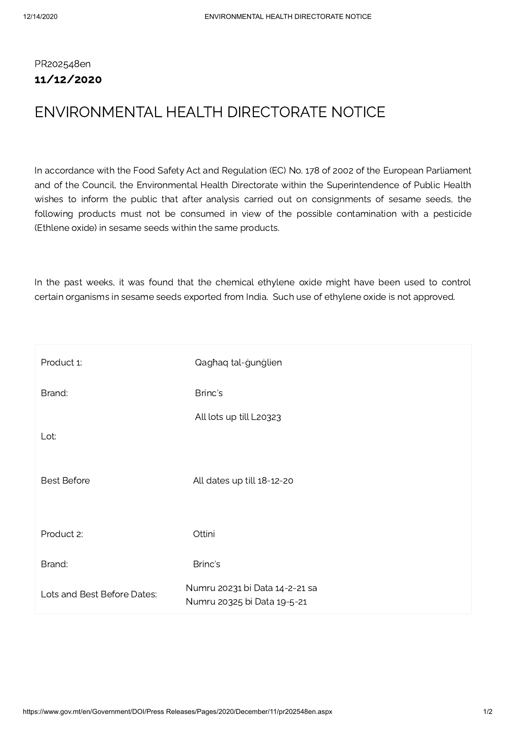## PR202548en 11/12/2020

## ENVIRONMENTAL HEALTH DIRECTORATE NOTICE

In accordance with the Food Safety Act and Regulation (EC) No. 178 of 2002 of the European Parliament and of the Council, the Environmental Health Directorate within the Superintendence of Public Health wishes to inform the public that after analysis carried out on consignments of sesame seeds, the following products must not be consumed in view of the possible contamination with a pesticide (Ethlene oxide) in sesame seeds within the same products.

In the past weeks, it was found that the chemical ethylene oxide might have been used to control certain organisms in sesame seeds exported from India. Such use of ethylene oxide is not approved.

| Product 1:                  | Qaghaq tal-gunglien                                           |
|-----------------------------|---------------------------------------------------------------|
| Brand:                      | Brinc's                                                       |
|                             | All lots up till L20323                                       |
| Lot:                        |                                                               |
| <b>Best Before</b>          | All dates up till 18-12-20                                    |
| Product 2:                  | Ottini                                                        |
| Brand:                      | Brinc's                                                       |
| Lots and Best Before Dates: | Numru 20231 bi Data 14-2-21 sa<br>Numru 20325 bi Data 19-5-21 |